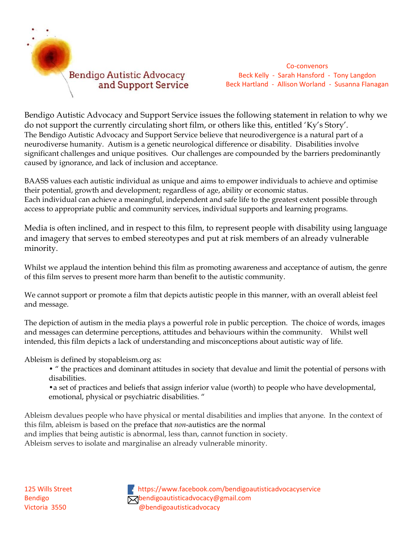

Co-convenors Beck Kelly - Sarah Hansford - Tony Langdon Beck Hartland - Allison Worland - Susanna Flanagan

Bendigo Autistic Advocacy and Support Service issues the following statement in relation to why we do not support the currently circulating short film, or others like this, entitled 'Ky's Story'. The Bendigo Autistic Advocacy and Support Service believe that neurodivergence is a natural part of a neurodiverse humanity. Autism is a genetic neurological difference or disability. Disabilities involve significant challenges and unique positives. Our challenges are compounded by the barriers predominantly caused by ignorance, and lack of inclusion and acceptance.

BAASS values each autistic individual as unique and aims to empower individuals to achieve and optimise their potential, growth and development; regardless of age, ability or economic status. Each individual can achieve a meaningful, independent and safe life to the greatest extent possible through access to appropriate public and community services, individual supports and learning programs.

Media is often inclined, and in respect to this film, to represent people with disability using language and imagery that serves to embed stereotypes and put at risk members of an already vulnerable minority.

Whilst we applaud the intention behind this film as promoting awareness and acceptance of autism, the genre of this film serves to present more harm than benefit to the autistic community.

We cannot support or promote a film that depicts autistic people in this manner, with an overall ableist feel and message.

The depiction of autism in the media plays a powerful role in public perception. The choice of words, images and messages can determine perceptions, attitudes and behaviours within the community. Whilst well intended, this film depicts a lack of understanding and misconceptions about autistic way of life.

Ableism is defined by stopableism.org as:

• " the practices and dominant attitudes in society that devalue and limit the potential of persons with disabilities.

•a set of practices and beliefs that assign inferior value (worth) to people who have developmental, emotional, physical or psychiatric disabilities. "

Ableism devalues people who have physical or mental disabilities and implies that anyone. In the context of this film, ableism is based on the preface that *non*-autistics are the normal and implies that being autistic is abnormal, less than, cannot function in society.

Ableism serves to isolate and marginalise an already vulnerable minority.

125 Wills Street **[h](https://www.google.com.au/url?sa=i&rct=j&q=&esrc=s&source=images&cd=&cad=rja&uact=8&ved=0ahUKEwjL8dOm7pzNAhWie6YKHSVwBNwQjRwIBw&url=https://www.facebookbrand.com/&psig=AFQjCNGGIdKcZRXk7vzjK2k63E-00SQSGg&ust=1465627567440850)ttps://www.facebook.com/bendigoautisticadvocacyservice** Bendigo **bendigoautisticadvocacy@gmail.com** Victoria 3550 @bendigoautisticadvocacy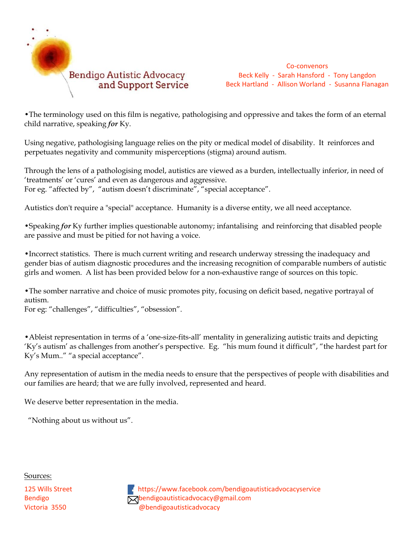

Co-convenors Beck Kelly - Sarah Hansford - Tony Langdon Beck Hartland - Allison Worland - Susanna Flanagan

•The terminology used on this film is negative, pathologising and oppressive and takes the form of an eternal child narrative, speaking *for* Ky.

Using negative, pathologising language relies on the pity or medical model of disability. It reinforces and perpetuates negativity and community misperceptions (stigma) around autism.

Through the lens of a pathologising model, autistics are viewed as a burden, intellectually inferior, in need of 'treatments' or 'cures' and even as dangerous and aggressive.

For eg. "affected by", "autism doesn't discriminate", "special acceptance".

Autistics don't require a "special" acceptance. Humanity is a diverse entity, we all need acceptance.

•Speaking *for* Ky further implies questionable autonomy; infantalising and reinforcing that disabled people are passive and must be pitied for not having a voice.

•Incorrect statistics. There is much current writing and research underway stressing the inadequacy and gender bias of autism diagnostic procedures and the increasing recognition of comparable numbers of autistic girls and women. A list has been provided below for a non-exhaustive range of sources on this topic.

•The somber narrative and choice of music promotes pity, focusing on deficit based, negative portrayal of autism.

For eg: "challenges", "difficulties", "obsession".

•Ableist representation in terms of a 'one-size-fits-all' mentality in generalizing autistic traits and depicting 'Ky's autism' as challenges from another's perspective. Eg. "his mum found it difficult", "the hardest part for Ky's Mum.." "a special acceptance".

Any representation of autism in the media needs to ensure that the perspectives of people with disabilities and our families are heard; that we are fully involved, represented and heard.

We deserve better representation in the media.

"Nothing about us without us".

Sources:

125 Wills Street **[h](https://www.google.com.au/url?sa=i&rct=j&q=&esrc=s&source=images&cd=&cad=rja&uact=8&ved=0ahUKEwjL8dOm7pzNAhWie6YKHSVwBNwQjRwIBw&url=https://www.facebookbrand.com/&psig=AFQjCNGGIdKcZRXk7vzjK2k63E-00SQSGg&ust=1465627567440850)ttps://www.facebook.com/bendigoautisticadvocacyservice** Bendigo **bendigoautisticadvocacy@gmail.com** Victoria 3550 @bendigoautisticadvocacy